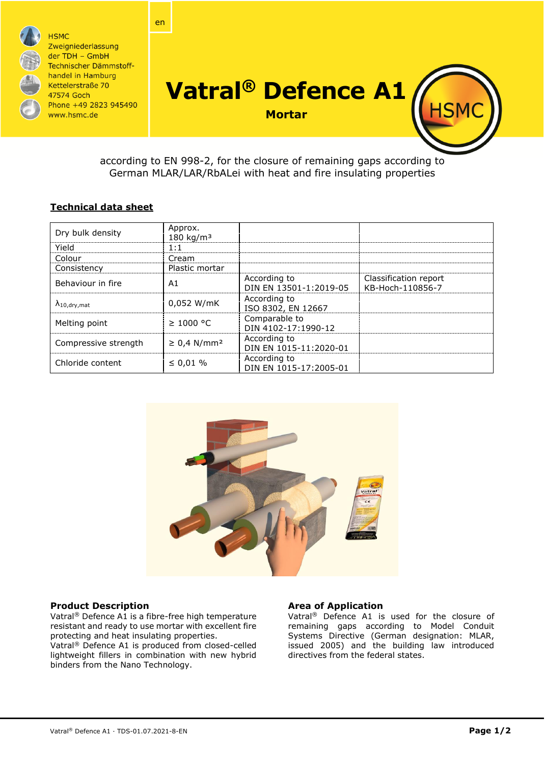

according to EN 998-2, for the closure of remaining gaps according to German MLAR/LAR/RbALei with heat and fire insulating properties

# **Technical data sheet**

| Dry bulk density               | Approx.<br>$180$ kg/m <sup>3</sup> |                                        |                                           |
|--------------------------------|------------------------------------|----------------------------------------|-------------------------------------------|
| Yield                          | 1:1                                |                                        |                                           |
| Colour                         | Cream                              |                                        |                                           |
| Consistency                    | Plastic mortar                     |                                        |                                           |
| Behaviour in fire              | A1                                 | According to<br>DIN EN 13501-1:2019-05 | Classification report<br>KB-Hoch-110856-7 |
| $\Lambda_{10, \text{dry,mat}}$ | 0,052 W/mK                         | According to<br>ISO 8302, EN 12667     |                                           |
| Melting point                  | $\geq 1000$ °C                     | Comparable to<br>DIN 4102-17:1990-12   |                                           |
| Compressive strength           | $\geq$ 0,4 N/mm <sup>2</sup>       | According to<br>DIN EN 1015-11:2020-01 |                                           |
| Chloride content               | $\leq 0.01 \%$                     | According to<br>DIN EN 1015-17:2005-01 |                                           |



## **Product Description**

Vatral® Defence A1 is a fibre-free high temperature resistant and ready to use mortar with excellent fire protecting and heat insulating properties. Vatral® Defence A1 is produced from closed-celled lightweight fillers in combination with new hybrid binders from the Nano Technology.

## **Area of Application**

Vatral® Defence A1 is used for the closure of remaining gaps according to Model Conduit Systems Directive (German designation: MLAR, issued 2005) and the building law introduced directives from the federal states.